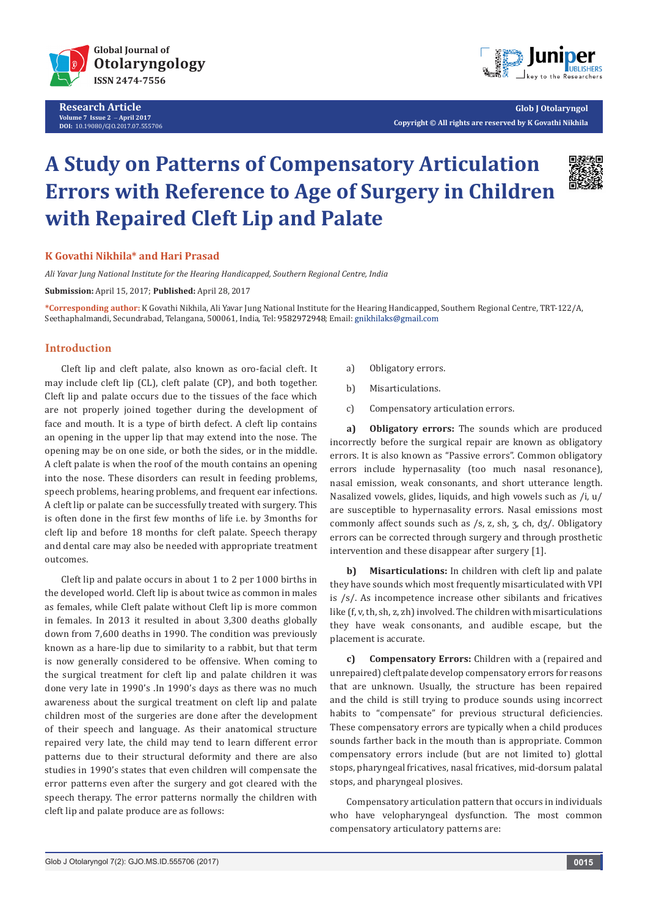

**Research Article Volume 7 Issue 2** - **April 2017 DOI:** [10.19080/GJO.2017.07.5557](http://dx.doi.org/10.19080/GJO.2017.07.555706)06



**Glob J Otolaryngol Copyright © All rights are reserved by K Govathi Nikhila**

# **A Study on Patterns of Compensatory Articulation Errors with Reference to Age of Surgery in Children with Repaired Cleft Lip and Palate**



# **K Govathi Nikhila\* and Hari Prasad**

*Ali Yavar Jung National Institute for the Hearing Handicapped, Southern Regional Centre, India*

**Submission:** April 15, 2017; **Published:** April 28, 2017

**\*Corresponding author:** K Govathi Nikhila, Ali Yavar Jung National Institute for the Hearing Handicapped, Southern Regional Centre, TRT-122/A, Seethaphalmandi, Secundrabad, Telangana, 500061, India, Tel: 9582972948; Email: gnikhilaks@gmail.com

# **Introduction**

Cleft lip and cleft palate, also known as oro-facial cleft. It may include cleft lip (CL), cleft palate (CP), and both together. Cleft lip and palate occurs due to the tissues of the face which are not properly joined together during the development of face and mouth. It is a type of birth defect. A cleft lip contains an opening in the upper lip that may extend into the nose. The opening may be on one side, or both the sides, or in the middle. A cleft palate is when the roof of the mouth contains an opening into the nose. These disorders can result in feeding problems, speech problems, hearing problems, and frequent ear infections. A cleft lip or palate can be successfully treated with surgery. This is often done in the first few months of life i.e. by 3months for cleft lip and before 18 months for cleft palate. Speech therapy and dental care may also be needed with appropriate treatment outcomes.

Cleft lip and palate occurs in about 1 to 2 per 1000 births in the developed world. Cleft lip is about twice as common in males as females, while Cleft palate without Cleft lip is more common in females. In 2013 it resulted in about 3,300 deaths globally down from 7,600 deaths in 1990. The condition was previously known as a hare-lip due to similarity to a rabbit, but that term is now generally considered to be offensive. When coming to the surgical treatment for cleft lip and palate children it was done very late in 1990's .In 1990's days as there was no much awareness about the surgical treatment on cleft lip and palate children most of the surgeries are done after the development of their speech and language. As their anatomical structure repaired very late, the child may tend to learn different error patterns due to their structural deformity and there are also studies in 1990's states that even children will compensate the error patterns even after the surgery and got cleared with the speech therapy. The error patterns normally the children with cleft lip and palate produce are as follows:

- a) Obligatory errors.
- b) Misarticulations.
- c) Compensatory articulation errors.

**a) Obligatory errors:** The sounds which are produced incorrectly before the surgical repair are known as obligatory errors. It is also known as "Passive errors". Common obligatory errors include hypernasality (too much nasal resonance), nasal emission, weak consonants, and short utterance length. Nasalized vowels, glides, liquids, and high vowels such as /i, u/ are susceptible to hypernasality errors. Nasal emissions most commonly affect sounds such as /s, z, sh, ʒ, ch, dʒ/. Obligatory errors can be corrected through surgery and through prosthetic intervention and these disappear after surgery [1].

**b) Misarticulations:** In children with cleft lip and palate they have sounds which most frequently misarticulated with VPI is /s/. As incompetence increase other sibilants and fricatives like (f, v, th, sh, z, zh) involved. The children with misarticulations they have weak consonants, and audible escape, but the placement is accurate.

**c) Compensatory Errors:** Children with a (repaired and unrepaired) cleft palate develop compensatory errors for reasons that are unknown. Usually, the structure has been repaired and the child is still trying to produce sounds using incorrect habits to "compensate" for previous structural deficiencies. These compensatory errors are typically when a child produces sounds farther back in the mouth than is appropriate. Common compensatory errors include (but are not limited to) glottal stops, pharyngeal fricatives, nasal fricatives, mid-dorsum palatal stops, and pharyngeal plosives.

Compensatory articulation pattern that occurs in individuals who have velopharyngeal dysfunction. The most common compensatory articulatory patterns are: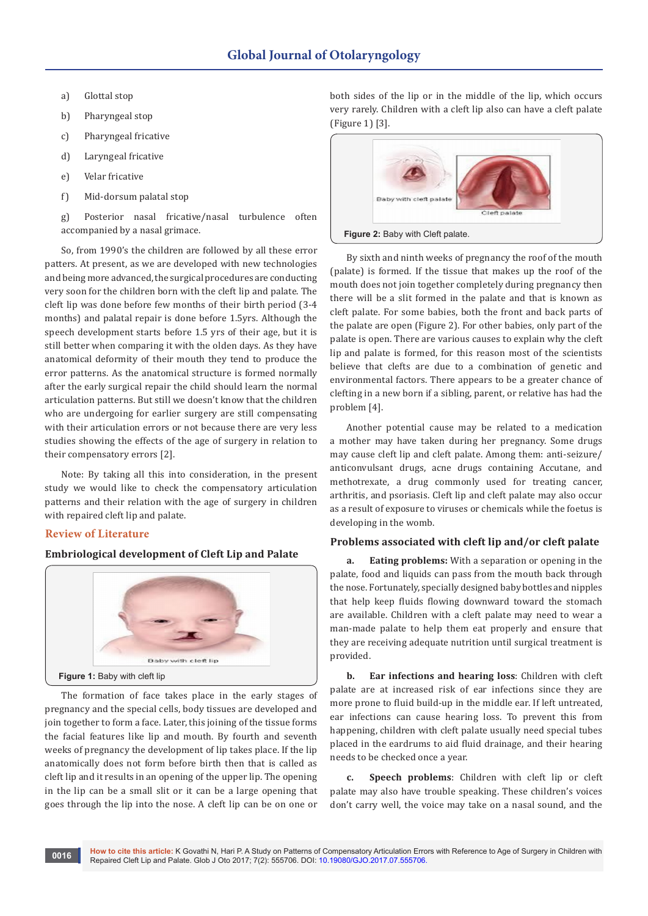- a) Glottal stop
- b) Pharyngeal stop
- c) Pharyngeal fricative
- d) Laryngeal fricative
- e) Velar fricative
- f) Mid-dorsum palatal stop

g) Posterior nasal fricative/nasal turbulence often accompanied by a nasal grimace.

So, from 1990's the children are followed by all these error patters. At present, as we are developed with new technologies and being more advanced, the surgical procedures are conducting very soon for the children born with the cleft lip and palate. The cleft lip was done before few months of their birth period (3-4 months) and palatal repair is done before 1.5yrs. Although the speech development starts before 1.5 yrs of their age, but it is still better when comparing it with the olden days. As they have anatomical deformity of their mouth they tend to produce the error patterns. As the anatomical structure is formed normally after the early surgical repair the child should learn the normal articulation patterns. But still we doesn't know that the children who are undergoing for earlier surgery are still compensating with their articulation errors or not because there are very less studies showing the effects of the age of surgery in relation to their compensatory errors [2].

Note: By taking all this into consideration, in the present study we would like to check the compensatory articulation patterns and their relation with the age of surgery in children with repaired cleft lip and palate.

# **Review of Literature**

# **Embriological development of Cleft Lip and Palate**



The formation of face takes place in the early stages of pregnancy and the special cells, body tissues are developed and join together to form a face. Later, this joining of the tissue forms the facial features like lip and mouth. By fourth and seventh weeks of pregnancy the development of lip takes place. If the lip anatomically does not form before birth then that is called as cleft lip and it results in an opening of the upper lip. The opening in the lip can be a small slit or it can be a large opening that goes through the lip into the nose. A cleft lip can be on one or

both sides of the lip or in the middle of the lip, which occurs very rarely. Children with a cleft lip also can have a cleft palate (Figure 1) [3].



By sixth and ninth weeks of pregnancy the roof of the mouth (palate) is formed. If the tissue that makes up the roof of the mouth does not join together completely during pregnancy then there will be a slit formed in the palate and that is known as cleft palate. For some babies, both the front and back parts of the palate are open (Figure 2). For other babies, only part of the palate is open. There are various causes to explain why the cleft lip and palate is formed, for this reason most of the scientists believe that clefts are due to a combination of genetic and environmental factors. There appears to be a greater chance of clefting in a new born if a sibling, parent, or relative has had the problem [4].

Another potential cause may be related to a medication a mother may have taken during her pregnancy. Some drugs may cause cleft lip and cleft palate. Among them: anti-seizure/ anticonvulsant drugs, acne drugs containing Accutane, and methotrexate, a drug commonly used for treating cancer, arthritis, and psoriasis. Cleft lip and cleft palate may also occur as a result of exposure to viruses or chemicals while the foetus is developing in the womb.

## **Problems associated with cleft lip and/or cleft palate**

**a. Eating problems:** With a separation or opening in the palate, food and liquids can pass from the mouth back through the nose. Fortunately, specially designed baby bottles and nipples that help keep fluids flowing downward toward the stomach are available. Children with a cleft palate may need to wear a man-made palate to help them eat properly and ensure that they are receiving adequate nutrition until surgical treatment is provided.

**b. Ear infections and hearing loss**: Children with cleft palate are at increased risk of ear infections since they are more prone to fluid build-up in the middle ear. If left untreated, ear infections can cause hearing loss. To prevent this from happening, children with cleft palate usually need special tubes placed in the eardrums to aid fluid drainage, and their hearing needs to be checked once a year.

**c. Speech problems**: Children with cleft lip or cleft palate may also have trouble speaking. These children's voices don't carry well, the voice may take on a nasal sound, and the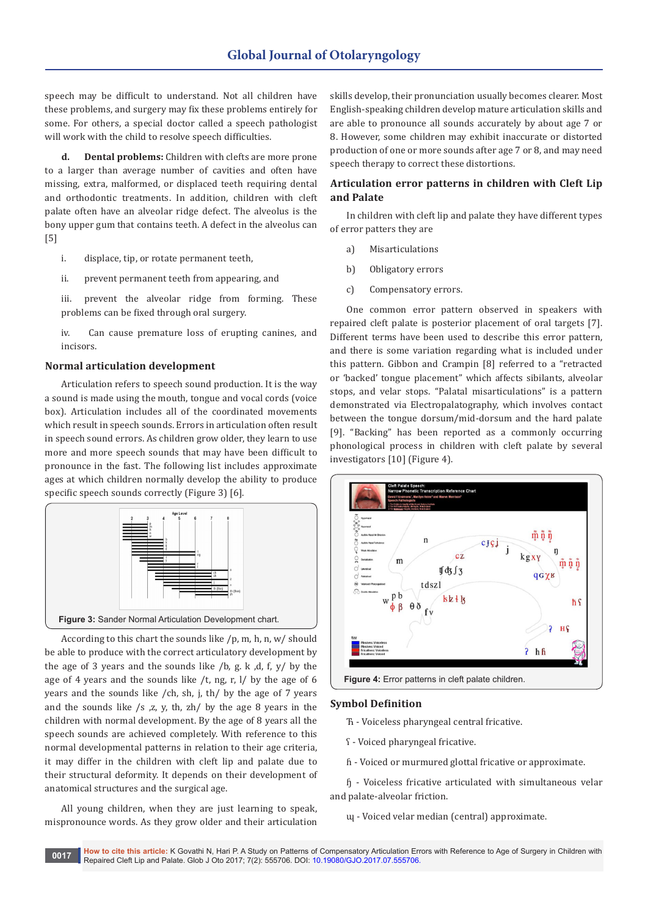speech may be difficult to understand. Not all children have these problems, and surgery may fix these problems entirely for some. For others, a special doctor called a speech pathologist will work with the child to resolve speech difficulties.

**d. Dental problems:** Children with clefts are more prone to a larger than average number of cavities and often have missing, extra, malformed, or displaced teeth requiring dental and orthodontic treatments. In addition, children with cleft palate often have an alveolar ridge defect. The alveolus is the bony upper gum that contains teeth. A defect in the alveolus can [5]

i. displace, tip, or rotate permanent teeth,

ii. prevent permanent teeth from appearing, and

iii. prevent the alveolar ridge from forming. These problems can be fixed through oral surgery.

iv. Can cause premature loss of erupting canines, and incisors.

#### **Normal articulation development**

Articulation refers to speech sound production. It is the way a sound is made using the mouth, tongue and vocal cords (voice box). Articulation includes all of the coordinated movements which result in speech sounds. Errors in articulation often result in speech sound errors. As children grow older, they learn to use more and more speech sounds that may have been difficult to pronounce in the fast. The following list includes approximate ages at which children normally develop the ability to produce specific speech sounds correctly (Figure 3) [6].



According to this chart the sounds like /p, m, h, n, w/ should be able to produce with the correct articulatory development by the age of 3 years and the sounds like  $/b$ , g. k, d, f, y/ by the age of 4 years and the sounds like /t, ng, r, l/ by the age of 6 years and the sounds like /ch, sh, j, th/ by the age of 7 years and the sounds like /s ,z, y, th, zh/ by the age 8 years in the children with normal development. By the age of 8 years all the speech sounds are achieved completely. With reference to this normal developmental patterns in relation to their age criteria, it may differ in the children with cleft lip and palate due to their structural deformity. It depends on their development of anatomical structures and the surgical age.

All young children, when they are just learning to speak, mispronounce words. As they grow older and their articulation

skills develop, their pronunciation usually becomes clearer. Most English-speaking children develop mature articulation skills and are able to pronounce all sounds accurately by about age 7 or 8. However, some children may exhibit inaccurate or distorted production of one or more sounds after age 7 or 8, and may need speech therapy to correct these distortions.

# **Articulation error patterns in children with Cleft Lip and Palate**

In children with cleft lip and palate they have different types of error patters they are

- a) Misarticulations
- b) Obligatory errors
- c) Compensatory errors.

One common error pattern observed in speakers with repaired cleft palate is posterior placement of oral targets [7]. Different terms have been used to describe this error pattern, and there is some variation regarding what is included under this pattern. Gibbon and Crampin [8] referred to a "retracted or 'backed' tongue placement" which affects sibilants, alveolar stops, and velar stops. "Palatal misarticulations" is a pattern demonstrated via Electropalatography, which involves contact between the tongue dorsum/mid-dorsum and the hard palate [9]. "Backing" has been reported as a commonly occurring phonological process in children with cleft palate by several investigators [10] (Figure 4).



**Figure 4:** Error patterns in cleft palate children.

#### **Symbol Definition**

- Ћ Voiceless pharyngeal central fricative.
- ʕ Voiced pharyngeal fricative.
- ɦ Voiced or murmured glottal fricative or approximate.

ɧ - Voiceless fricative articulated with simultaneous velar and palate-alveolar friction.

ɰ - Voiced velar median (central) approximate.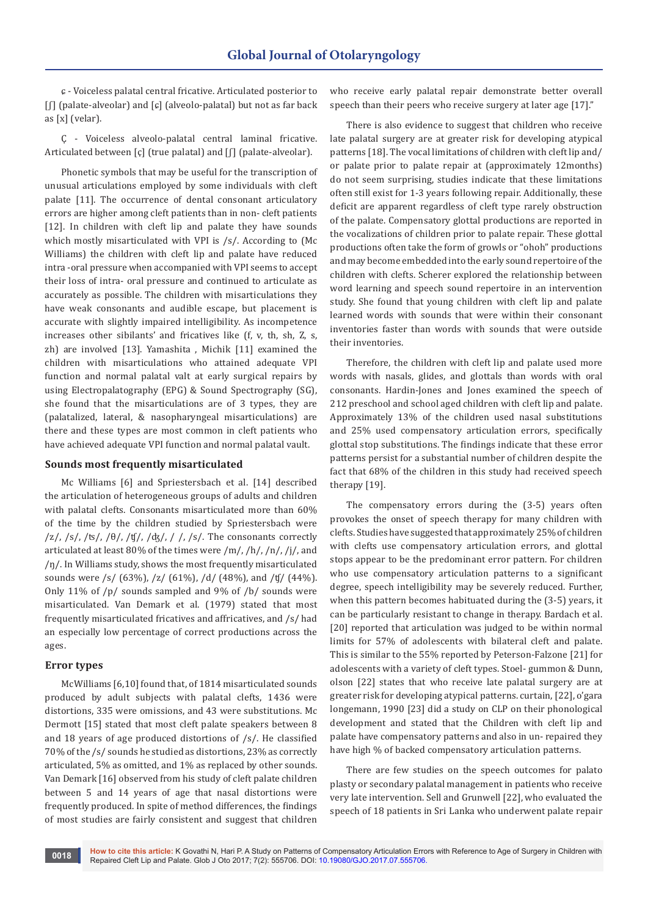ɕ - Voiceless palatal central fricative. Articulated posterior to [ʃ] (palate-alveolar) and [ɕ] (alveolo-palatal) but not as far back as [x] (velar).

Ҫ - Voiceless alveolo-palatal central laminal fricative. Articulated between [ç] (true palatal) and [f] (palate-alveolar).

Phonetic symbols that may be useful for the transcription of unusual articulations employed by some individuals with cleft palate [11]. The occurrence of dental consonant articulatory errors are higher among cleft patients than in non- cleft patients [12]. In children with cleft lip and palate they have sounds which mostly misarticulated with VPI is /s/. According to (Mc Williams) the children with cleft lip and palate have reduced intra -oral pressure when accompanied with VPI seems to accept their loss of intra- oral pressure and continued to articulate as accurately as possible. The children with misarticulations they have weak consonants and audible escape, but placement is accurate with slightly impaired intelligibility. As incompetence increases other sibilants' and fricatives like (f, v, th, sh, Z, s, zh) are involved [13]. Yamashita , Michik [11] examined the children with misarticulations who attained adequate VPI function and normal palatal valt at early surgical repairs by using Electropalatography (EPG) & Sound Spectrography (SG), she found that the misarticulations are of 3 types, they are (palatalized, lateral, & nasopharyngeal misarticulations) are there and these types are most common in cleft patients who have achieved adequate VPI function and normal palatal vault.

# **Sounds most frequently misarticulated**

Mc Williams [6] and Spriestersbach et al. [14] described the articulation of heterogeneous groups of adults and children with palatal clefts. Consonants misarticulated more than 60% of the time by the children studied by Spriestersbach were  $\frac{z}{s}$ ,  $\frac{s}{s}$ ,  $\frac{s}{s}$ ,  $\frac{\theta}{s}$ ,  $\frac{t}{s}$ ,  $\frac{d}{s}$ ,  $\frac{d}{s}$ ,  $\frac{s}{s}$ . The consonants correctly articulated at least 80% of the times were /m/, /h/, /n/, /j/, and /ŋ/. In Williams study, shows the most frequently misarticulated sounds were /s/ (63%), /z/ (61%), /d/ (48%), and /ʧ/ (44%). Only 11% of /p/ sounds sampled and 9% of /b/ sounds were misarticulated. Van Demark et al. (1979) stated that most frequently misarticulated fricatives and affricatives, and /s/ had an especially low percentage of correct productions across the ages.

#### **Error types**

McWilliams [6,10] found that, of 1814 misarticulated sounds produced by adult subjects with palatal clefts, 1436 were distortions, 335 were omissions, and 43 were substitutions. Mc Dermott [15] stated that most cleft palate speakers between 8 and 18 years of age produced distortions of /s/. He classified 70% of the /s/ sounds he studied as distortions, 23% as correctly articulated, 5% as omitted, and 1% as replaced by other sounds. Van Demark [16] observed from his study of cleft palate children between 5 and 14 years of age that nasal distortions were frequently produced. In spite of method differences, the findings of most studies are fairly consistent and suggest that children

who receive early palatal repair demonstrate better overall speech than their peers who receive surgery at later age [17]."

There is also evidence to suggest that children who receive late palatal surgery are at greater risk for developing atypical patterns [18]. The vocal limitations of children with cleft lip and/ or palate prior to palate repair at (approximately 12months) do not seem surprising, studies indicate that these limitations often still exist for 1-3 years following repair. Additionally, these deficit are apparent regardless of cleft type rarely obstruction of the palate. Compensatory glottal productions are reported in the vocalizations of children prior to palate repair. These glottal productions often take the form of growls or "ohoh" productions and may become embedded into the early sound repertoire of the children with clefts. Scherer explored the relationship between word learning and speech sound repertoire in an intervention study. She found that young children with cleft lip and palate learned words with sounds that were within their consonant inventories faster than words with sounds that were outside their inventories.

Therefore, the children with cleft lip and palate used more words with nasals, glides, and glottals than words with oral consonants. Hardin-Jones and Jones examined the speech of 212 preschool and school aged children with cleft lip and palate. Approximately 13% of the children used nasal substitutions and 25% used compensatory articulation errors, specifically glottal stop substitutions. The findings indicate that these error patterns persist for a substantial number of children despite the fact that 68% of the children in this study had received speech therapy [19].

The compensatory errors during the (3-5) years often provokes the onset of speech therapy for many children with clefts. Studies have suggested that approximately 25% of children with clefts use compensatory articulation errors, and glottal stops appear to be the predominant error pattern. For children who use compensatory articulation patterns to a significant degree, speech intelligibility may be severely reduced. Further, when this pattern becomes habituated during the (3-5) years, it can be particularly resistant to change in therapy. Bardach et al. [20] reported that articulation was judged to be within normal limits for 57% of adolescents with bilateral cleft and palate. This is similar to the 55% reported by Peterson-Falzone [21] for adolescents with a variety of cleft types. Stoel- gummon & Dunn, olson [22] states that who receive late palatal surgery are at greater risk for developing atypical patterns. curtain, [22], o'gara longemann, 1990 [23] did a study on CLP on their phonological development and stated that the Children with cleft lip and palate have compensatory patterns and also in un- repaired they have high % of backed compensatory articulation patterns.

There are few studies on the speech outcomes for palato plasty or secondary palatal management in patients who receive very late intervention. Sell and Grunwell [22], who evaluated the speech of 18 patients in Sri Lanka who underwent palate repair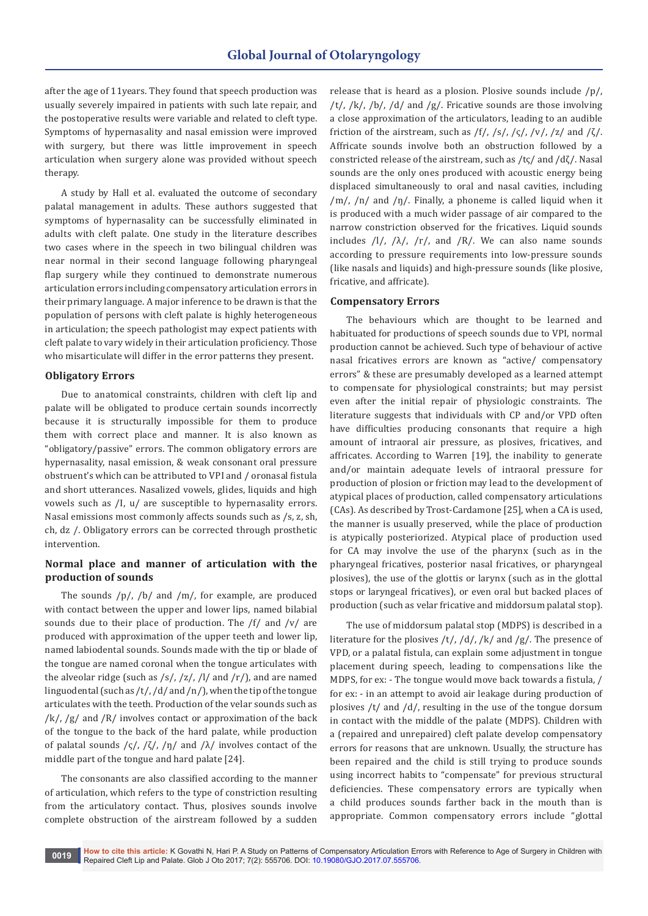after the age of 11years. They found that speech production was usually severely impaired in patients with such late repair, and the postoperative results were variable and related to cleft type. Symptoms of hypernasality and nasal emission were improved with surgery, but there was little improvement in speech articulation when surgery alone was provided without speech therapy.

A study by Hall et al. evaluated the outcome of secondary palatal management in adults. These authors suggested that symptoms of hypernasality can be successfully eliminated in adults with cleft palate. One study in the literature describes two cases where in the speech in two bilingual children was near normal in their second language following pharyngeal flap surgery while they continued to demonstrate numerous articulation errors including compensatory articulation errors in their primary language. A major inference to be drawn is that the population of persons with cleft palate is highly heterogeneous in articulation; the speech pathologist may expect patients with cleft palate to vary widely in their articulation proficiency. Those who misarticulate will differ in the error patterns they present.

# **Obligatory Errors**

Due to anatomical constraints, children with cleft lip and palate will be obligated to produce certain sounds incorrectly because it is structurally impossible for them to produce them with correct place and manner. It is also known as "obligatory/passive" errors. The common obligatory errors are hypernasality, nasal emission, & weak consonant oral pressure obstruent's which can be attributed to VPI and / oronasal fistula and short utterances. Nasalized vowels, glides, liquids and high vowels such as /I, u/ are susceptible to hypernasality errors. Nasal emissions most commonly affects sounds such as /s, z, sh, ch, dz /. Obligatory errors can be corrected through prosthetic intervention.

# **Normal place and manner of articulation with the production of sounds**

The sounds  $/p/$ ,  $/b/$  and  $/m/$ , for example, are produced with contact between the upper and lower lips, named bilabial sounds due to their place of production. The /f/ and /v/ are produced with approximation of the upper teeth and lower lip, named labiodental sounds. Sounds made with the tip or blade of the tongue are named coronal when the tongue articulates with the alveolar ridge (such as /s/, /z/, /l/ and /r/), and are named linguodental (such as /t/, /d/ and /n/), when the tip of the tongue articulates with the teeth. Production of the velar sounds such as  $/k/$ , /g/ and /R/ involves contact or approximation of the back of the tongue to the back of the hard palate, while production of palatal sounds  $\frac{\zeta}{\zeta}$ ,  $\frac{\zeta}{\zeta}$ ,  $\frac{\zeta}{\eta}$  and  $\frac{\zeta}{\zeta}$  involves contact of the middle part of the tongue and hard palate [24].

The consonants are also classified according to the manner of articulation, which refers to the type of constriction resulting from the articulatory contact. Thus, plosives sounds involve complete obstruction of the airstream followed by a sudden

release that is heard as a plosion. Plosive sounds include /p/, /t/, /k/, /b/, /d/ and /g/. Fricative sounds are those involving a close approximation of the articulators, leading to an audible friction of the airstream, such as  $/f/$ ,  $/s/$ ,  $/s/$ ,  $/v/$ ,  $/z/$  and  $/\zeta/$ . Affricate sounds involve both an obstruction followed by a constricted release of the airstream, such as /tς/ and /dζ/. Nasal sounds are the only ones produced with acoustic energy being displaced simultaneously to oral and nasal cavities, including  $/m/$ ,  $/n/$  and  $/n/$ . Finally, a phoneme is called liquid when it is produced with a much wider passage of air compared to the narrow constriction observed for the fricatives. Liquid sounds includes  $/1/$ ,  $/λ/$ ,  $/rf/$ , and  $/R/$ . We can also name sounds according to pressure requirements into low-pressure sounds (like nasals and liquids) and high-pressure sounds (like plosive, fricative, and affricate).

#### **Compensatory Errors**

The behaviours which are thought to be learned and habituated for productions of speech sounds due to VPI, normal production cannot be achieved. Such type of behaviour of active nasal fricatives errors are known as "active/ compensatory errors" & these are presumably developed as a learned attempt to compensate for physiological constraints; but may persist even after the initial repair of physiologic constraints. The literature suggests that individuals with CP and/or VPD often have difficulties producing consonants that require a high amount of intraoral air pressure, as plosives, fricatives, and affricates. According to Warren [19], the inability to generate and/or maintain adequate levels of intraoral pressure for production of plosion or friction may lead to the development of atypical places of production, called compensatory articulations (CAs). As described by Trost-Cardamone [25], when a CA is used, the manner is usually preserved, while the place of production is atypically posteriorized. Atypical place of production used for CA may involve the use of the pharynx (such as in the pharyngeal fricatives, posterior nasal fricatives, or pharyngeal plosives), the use of the glottis or larynx (such as in the glottal stops or laryngeal fricatives), or even oral but backed places of production (such as velar fricative and middorsum palatal stop).

The use of middorsum palatal stop (MDPS) is described in a literature for the plosives  $/t/$ ,  $/d/$ ,  $/k/$  and  $/g/$ . The presence of VPD, or a palatal fistula, can explain some adjustment in tongue placement during speech, leading to compensations like the MDPS, for ex: - The tongue would move back towards a fistula, / for ex: - in an attempt to avoid air leakage during production of plosives /t/ and /d/, resulting in the use of the tongue dorsum in contact with the middle of the palate (MDPS). Children with a (repaired and unrepaired) cleft palate develop compensatory errors for reasons that are unknown. Usually, the structure has been repaired and the child is still trying to produce sounds using incorrect habits to "compensate" for previous structural deficiencies. These compensatory errors are typically when a child produces sounds farther back in the mouth than is appropriate. Common compensatory errors include "glottal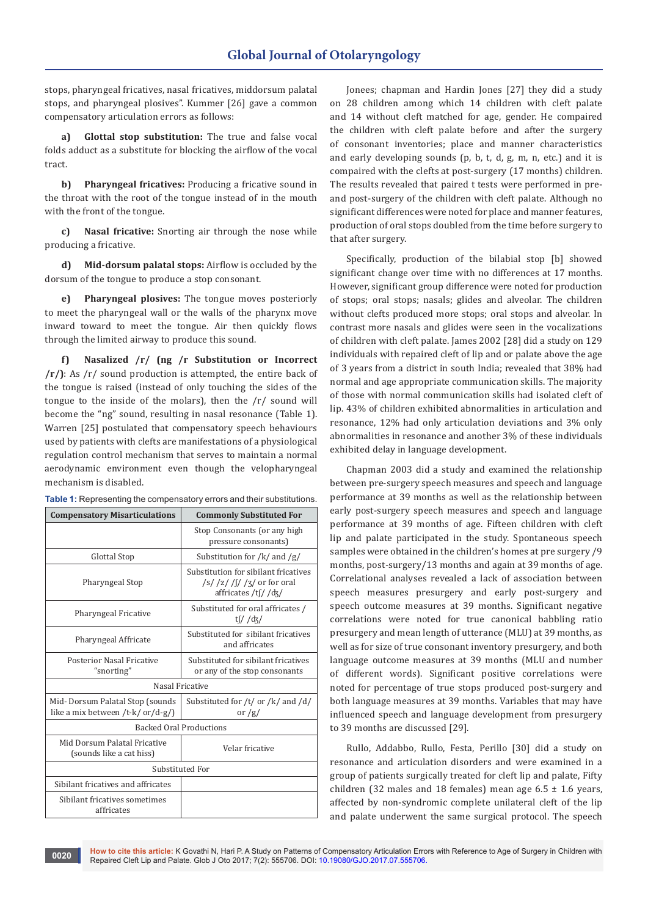stops, pharyngeal fricatives, nasal fricatives, middorsum palatal stops, and pharyngeal plosives". Kummer [26] gave a common compensatory articulation errors as follows:

**a) Glottal stop substitution:** The true and false vocal folds adduct as a substitute for blocking the airflow of the vocal tract.

**b) Pharyngeal fricatives:** Producing a fricative sound in the throat with the root of the tongue instead of in the mouth with the front of the tongue.

**c) Nasal fricative:** Snorting air through the nose while producing a fricative.

**d) Mid-dorsum palatal stops:** Airflow is occluded by the dorsum of the tongue to produce a stop consonant.

**e) Pharyngeal plosives:** The tongue moves posteriorly to meet the pharyngeal wall or the walls of the pharynx move inward toward to meet the tongue. Air then quickly flows through the limited airway to produce this sound.

**f) Nasalized /r/ (ng /r Substitution or Incorrect /r/)**: As /r/ sound production is attempted, the entire back of the tongue is raised (instead of only touching the sides of the tongue to the inside of the molars), then the /r/ sound will become the "ng" sound, resulting in nasal resonance (Table 1). Warren [25] postulated that compensatory speech behaviours used by patients with clefts are manifestations of a physiological regulation control mechanism that serves to maintain a normal aerodynamic environment even though the velopharyngeal mechanism is disabled.<br> **Table 4:** Persearing the

| <b>Table 1:</b> Representing the compensatory errors and their substitutions. |  |
|-------------------------------------------------------------------------------|--|
|-------------------------------------------------------------------------------|--|

| <b>Compensatory Misarticulations</b>                                    | <b>Commonly Substituted For</b>                                                                        |  |  |  |  |
|-------------------------------------------------------------------------|--------------------------------------------------------------------------------------------------------|--|--|--|--|
|                                                                         | Stop Consonants (or any high<br>pressure consonants)                                                   |  |  |  |  |
| Glottal Stop                                                            | Substitution for /k/ and /g/                                                                           |  |  |  |  |
| Pharyngeal Stop                                                         | Substitution for sibilant fricatives<br>$\frac{1}{s}$ /z/ /s/ /z/ or for oral<br>affricates /tf/ / dz/ |  |  |  |  |
| Pharyngeal Fricative                                                    | Substituted for oral affricates /<br>tf// $d\zeta$ /                                                   |  |  |  |  |
| Pharyngeal Affricate                                                    | Substituted for sibilant fricatives<br>and affricates                                                  |  |  |  |  |
| Posterior Nasal Fricative<br>"snorting"                                 | Substituted for sibilant fricatives<br>or any of the stop consonants                                   |  |  |  |  |
|                                                                         | Nasal Fricative                                                                                        |  |  |  |  |
| Mid-Dorsum Palatal Stop (sounds<br>like a mix between /t-k/ $or/d-g$ /) | Substituted for /t/ or /k/ and /d/<br>or $/g/$                                                         |  |  |  |  |
| <b>Backed Oral Productions</b>                                          |                                                                                                        |  |  |  |  |
| Mid Dorsum Palatal Fricative<br>(sounds like a cat hiss)                | Velar fricative                                                                                        |  |  |  |  |
| Substituted For                                                         |                                                                                                        |  |  |  |  |
| Sibilant fricatives and affricates                                      |                                                                                                        |  |  |  |  |
| Sibilant fricatives sometimes<br>affricates                             |                                                                                                        |  |  |  |  |

Jonees; chapman and Hardin Jones [27] they did a study on 28 children among which 14 children with cleft palate and 14 without cleft matched for age, gender. He compaired the children with cleft palate before and after the surgery of consonant inventories; place and manner characteristics and early developing sounds (p, b, t, d, g, m, n, etc.) and it is compaired with the clefts at post-surgery (17 months) children. The results revealed that paired t tests were performed in preand post-surgery of the children with cleft palate. Although no significant differences were noted for place and manner features, production of oral stops doubled from the time before surgery to that after surgery.

Specifically, production of the bilabial stop [b] showed significant change over time with no differences at 17 months. However, significant group difference were noted for production of stops; oral stops; nasals; glides and alveolar. The children without clefts produced more stops; oral stops and alveolar. In contrast more nasals and glides were seen in the vocalizations of children with cleft palate. James 2002 [28] did a study on 129 individuals with repaired cleft of lip and or palate above the age of 3 years from a district in south India; revealed that 38% had normal and age appropriate communication skills. The majority of those with normal communication skills had isolated cleft of lip. 43% of children exhibited abnormalities in articulation and resonance, 12% had only articulation deviations and 3% only abnormalities in resonance and another 3% of these individuals exhibited delay in language development.

Chapman 2003 did a study and examined the relationship between pre-surgery speech measures and speech and language performance at 39 months as well as the relationship between early post-surgery speech measures and speech and language performance at 39 months of age. Fifteen children with cleft lip and palate participated in the study. Spontaneous speech samples were obtained in the children's homes at pre surgery /9 months, post-surgery/13 months and again at 39 months of age. Correlational analyses revealed a lack of association between speech measures presurgery and early post-surgery and speech outcome measures at 39 months. Significant negative correlations were noted for true canonical babbling ratio presurgery and mean length of utterance (MLU) at 39 months, as well as for size of true consonant inventory presurgery, and both language outcome measures at 39 months (MLU and number of different words). Significant positive correlations were noted for percentage of true stops produced post-surgery and both language measures at 39 months. Variables that may have influenced speech and language development from presurgery to 39 months are discussed [29].

Rullo, Addabbo, Rullo, Festa, Perillo [30] did a study on resonance and articulation disorders and were examined in a group of patients surgically treated for cleft lip and palate, Fifty children (32 males and 18 females) mean age  $6.5 \pm 1.6$  years, affected by non-syndromic complete unilateral cleft of the lip and palate underwent the same surgical protocol. The speech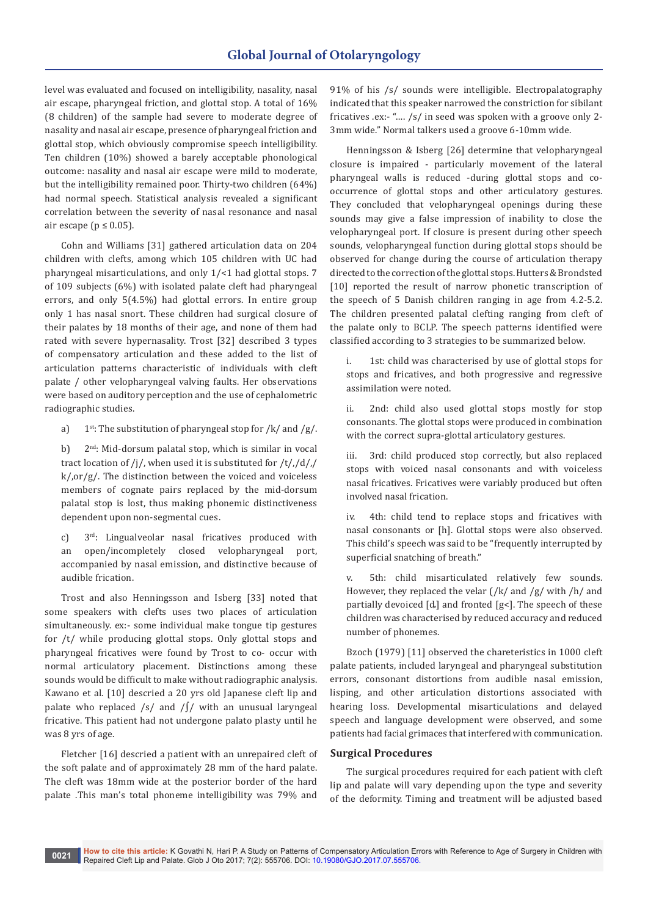level was evaluated and focused on intelligibility, nasality, nasal air escape, pharyngeal friction, and glottal stop. A total of 16% (8 children) of the sample had severe to moderate degree of nasality and nasal air escape, presence of pharyngeal friction and glottal stop, which obviously compromise speech intelligibility. Ten children (10%) showed a barely acceptable phonological outcome: nasality and nasal air escape were mild to moderate, but the intelligibility remained poor. Thirty-two children (64%) had normal speech. Statistical analysis revealed a significant correlation between the severity of nasal resonance and nasal air escape ( $p \le 0.05$ ).

Cohn and Williams [31] gathered articulation data on 204 children with clefts, among which 105 children with UC had pharyngeal misarticulations, and only 1/<1 had glottal stops. 7 of 109 subjects (6%) with isolated palate cleft had pharyngeal errors, and only 5(4.5%) had glottal errors. In entire group only 1 has nasal snort. These children had surgical closure of their palates by 18 months of their age, and none of them had rated with severe hypernasality. Trost [32] described 3 types of compensatory articulation and these added to the list of articulation patterns characteristic of individuals with cleft palate / other velopharyngeal valving faults. Her observations were based on auditory perception and the use of cephalometric radiographic studies.

- a)  $1^{st}$ : The substitution of pharyngeal stop for /k/ and /g/.
- b) 2<sup>nd</sup>: Mid-dorsum palatal stop, which is similar in vocal tract location of /j/, when used it is substituted for /t/,/d/,/ k/,or/g/. The distinction between the voiced and voiceless members of cognate pairs replaced by the mid-dorsum palatal stop is lost, thus making phonemic distinctiveness dependent upon non-segmental cues.
- c) 3rd: Lingualveolar nasal fricatives produced with an open/incompletely closed velopharyngeal port, accompanied by nasal emission, and distinctive because of audible frication.

Trost and also Henningsson and Isberg [33] noted that some speakers with clefts uses two places of articulation simultaneously. ex:- some individual make tongue tip gestures for /t/ while producing glottal stops. Only glottal stops and pharyngeal fricatives were found by Trost to co- occur with normal articulatory placement. Distinctions among these sounds would be difficult to make without radiographic analysis. Kawano et al. [10] descried a 20 yrs old Japanese cleft lip and palate who replaced /s/ and /∫/ with an unusual laryngeal fricative. This patient had not undergone palato plasty until he was 8 yrs of age.

Fletcher [16] descried a patient with an unrepaired cleft of the soft palate and of approximately 28 mm of the hard palate. The cleft was 18mm wide at the posterior border of the hard palate .This man's total phoneme intelligibility was 79% and

91% of his /s/ sounds were intelligible. Electropalatography indicated that this speaker narrowed the constriction for sibilant fricatives .ex:- "…. /s/ in seed was spoken with a groove only 2- 3mm wide." Normal talkers used a groove 6-10mm wide.

Henningsson & Isberg [26] determine that velopharyngeal closure is impaired - particularly movement of the lateral pharyngeal walls is reduced -during glottal stops and cooccurrence of glottal stops and other articulatory gestures. They concluded that velopharyngeal openings during these sounds may give a false impression of inability to close the velopharyngeal port. If closure is present during other speech sounds, velopharyngeal function during glottal stops should be observed for change during the course of articulation therapy directed to the correction of the glottal stops. Hutters & Brondsted [10] reported the result of narrow phonetic transcription of the speech of 5 Danish children ranging in age from 4.2-5.2. The children presented palatal clefting ranging from cleft of the palate only to BCLP. The speech patterns identified were classified according to 3 strategies to be summarized below.

i. 1st: child was characterised by use of glottal stops for stops and fricatives, and both progressive and regressive assimilation were noted.

ii. 2nd: child also used glottal stops mostly for stop consonants. The glottal stops were produced in combination with the correct supra-glottal articulatory gestures.

iii. 3rd: child produced stop correctly, but also replaced stops with voiced nasal consonants and with voiceless nasal fricatives. Fricatives were variably produced but often involved nasal frication.

iv. 4th: child tend to replace stops and fricatives with nasal consonants or [h]. Glottal stops were also observed. This child's speech was said to be "frequently interrupted by superficial snatching of breath."

v. 5th: child misarticulated relatively few sounds. However, they replaced the velar  $\frac{\gamma}{k}$  and  $\frac{\gamma}{g}$  with  $\frac{\gamma}{h}$  and partially devoiced [ȡ] and fronted [g<]. The speech of these children was characterised by reduced accuracy and reduced number of phonemes.

Bzoch (1979) [11] observed the chareteristics in 1000 cleft palate patients, included laryngeal and pharyngeal substitution errors, consonant distortions from audible nasal emission, lisping, and other articulation distortions associated with hearing loss. Developmental misarticulations and delayed speech and language development were observed, and some patients had facial grimaces that interfered with communication.

## **Surgical Procedures**

The surgical procedures required for each patient with cleft lip and palate will vary depending upon the type and severity of the deformity. Timing and treatment will be adjusted based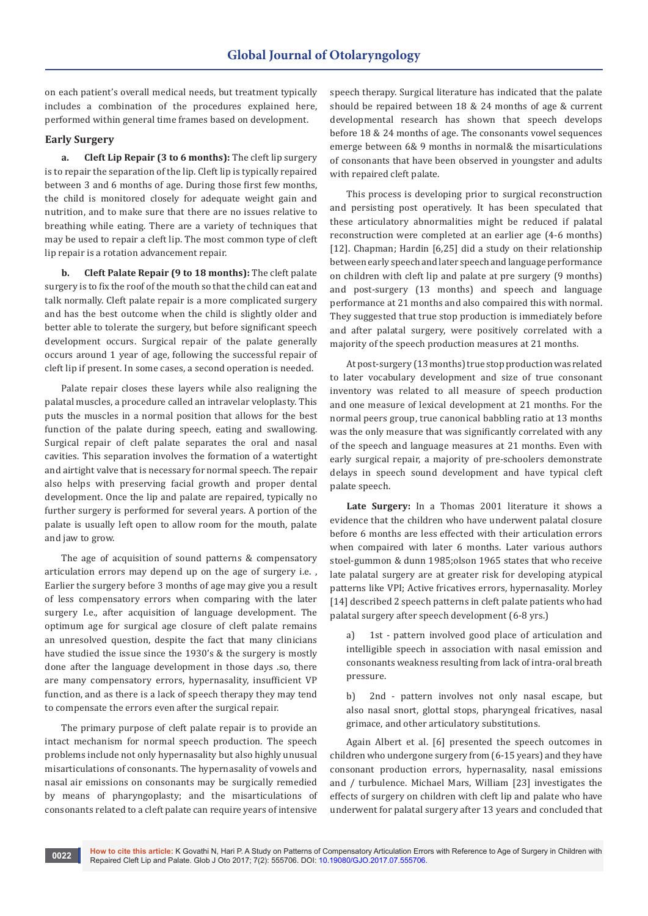on each patient's overall medical needs, but treatment typically includes a combination of the procedures explained here, performed within general time frames based on development.

# **Early Surgery**

**a. Cleft Lip Repair (3 to 6 months):** The cleft lip surgery is to repair the separation of the lip. Cleft lip is typically repaired between 3 and 6 months of age. During those first few months, the child is monitored closely for adequate weight gain and nutrition, and to make sure that there are no issues relative to breathing while eating. There are a variety of techniques that may be used to repair a cleft lip. The most common type of cleft lip repair is a rotation advancement repair.

**b. Cleft Palate Repair (9 to 18 months):** The cleft palate surgery is to fix the roof of the mouth so that the child can eat and talk normally. Cleft palate repair is a more complicated surgery and has the best outcome when the child is slightly older and better able to tolerate the surgery, but before significant speech development occurs. Surgical repair of the palate generally occurs around 1 year of age, following the successful repair of cleft lip if present. In some cases, a second operation is needed.

Palate repair closes these layers while also realigning the palatal muscles, a procedure called an intravelar veloplasty. This puts the muscles in a normal position that allows for the best function of the palate during speech, eating and swallowing. Surgical repair of cleft palate separates the oral and nasal cavities. This separation involves the formation of a watertight and airtight valve that is necessary for normal speech. The repair also helps with preserving facial growth and proper dental development. Once the lip and palate are repaired, typically no further surgery is performed for several years. A portion of the palate is usually left open to allow room for the mouth, palate and jaw to grow.

The age of acquisition of sound patterns & compensatory articulation errors may depend up on the age of surgery i.e. , Earlier the surgery before 3 months of age may give you a result of less compensatory errors when comparing with the later surgery I.e., after acquisition of language development. The optimum age for surgical age closure of cleft palate remains an unresolved question, despite the fact that many clinicians have studied the issue since the 1930's & the surgery is mostly done after the language development in those days .so, there are many compensatory errors, hypernasality, insufficient VP function, and as there is a lack of speech therapy they may tend to compensate the errors even after the surgical repair.

The primary purpose of cleft palate repair is to provide an intact mechanism for normal speech production. The speech problems include not only hypernasality but also highly unusual misarticulations of consonants. The hypernasality of vowels and nasal air emissions on consonants may be surgically remedied by means of pharyngoplasty; and the misarticulations of consonants related to a cleft palate can require years of intensive

speech therapy. Surgical literature has indicated that the palate should be repaired between 18 & 24 months of age & current developmental research has shown that speech develops before 18 & 24 months of age. The consonants vowel sequences emerge between 6& 9 months in normal& the misarticulations of consonants that have been observed in youngster and adults with repaired cleft palate.

This process is developing prior to surgical reconstruction and persisting post operatively. It has been speculated that these articulatory abnormalities might be reduced if palatal reconstruction were completed at an earlier age (4-6 months) [12]. Chapman; Hardin [6,25] did a study on their relationship between early speech and later speech and language performance on children with cleft lip and palate at pre surgery (9 months) and post-surgery (13 months) and speech and language performance at 21 months and also compaired this with normal. They suggested that true stop production is immediately before and after palatal surgery, were positively correlated with a majority of the speech production measures at 21 months.

At post-surgery (13 months) true stop production was related to later vocabulary development and size of true consonant inventory was related to all measure of speech production and one measure of lexical development at 21 months. For the normal peers group, true canonical babbling ratio at 13 months was the only measure that was significantly correlated with any of the speech and language measures at 21 months. Even with early surgical repair, a majority of pre-schoolers demonstrate delays in speech sound development and have typical cleft palate speech.

**Late Surgery:** In a Thomas 2001 literature it shows a evidence that the children who have underwent palatal closure before 6 months are less effected with their articulation errors when compaired with later 6 months. Later various authors stoel-gummon & dunn 1985;olson 1965 states that who receive late palatal surgery are at greater risk for developing atypical patterns like VPI; Active fricatives errors, hypernasality. Morley [14] described 2 speech patterns in cleft palate patients who had palatal surgery after speech development (6-8 yrs.)

a) 1st - pattern involved good place of articulation and intelligible speech in association with nasal emission and consonants weakness resulting from lack of intra-oral breath pressure.

b) 2nd - pattern involves not only nasal escape, but also nasal snort, glottal stops, pharyngeal fricatives, nasal grimace, and other articulatory substitutions.

Again Albert et al. [6] presented the speech outcomes in children who undergone surgery from (6-15 years) and they have consonant production errors, hypernasality, nasal emissions and / turbulence. Michael Mars, William [23] investigates the effects of surgery on children with cleft lip and palate who have underwent for palatal surgery after 13 years and concluded that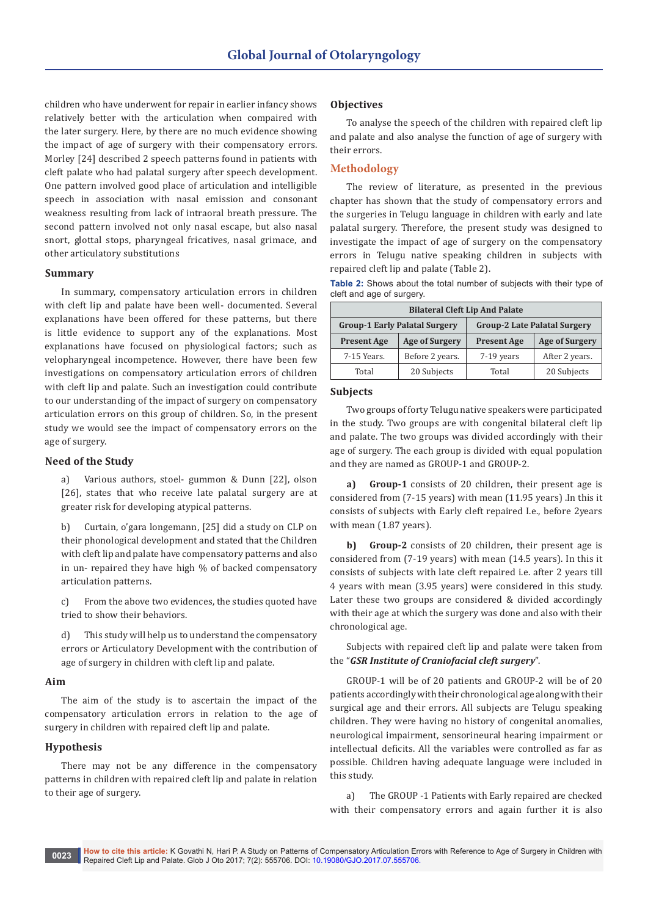children who have underwent for repair in earlier infancy shows relatively better with the articulation when compaired with the later surgery. Here, by there are no much evidence showing the impact of age of surgery with their compensatory errors. Morley [24] described 2 speech patterns found in patients with cleft palate who had palatal surgery after speech development. One pattern involved good place of articulation and intelligible speech in association with nasal emission and consonant weakness resulting from lack of intraoral breath pressure. The second pattern involved not only nasal escape, but also nasal snort, glottal stops, pharyngeal fricatives, nasal grimace, and other articulatory substitutions

#### **Summary**

In summary, compensatory articulation errors in children with cleft lip and palate have been well- documented. Several explanations have been offered for these patterns, but there is little evidence to support any of the explanations. Most explanations have focused on physiological factors; such as velopharyngeal incompetence. However, there have been few investigations on compensatory articulation errors of children with cleft lip and palate. Such an investigation could contribute to our understanding of the impact of surgery on compensatory articulation errors on this group of children. So, in the present study we would see the impact of compensatory errors on the age of surgery.

#### **Need of the Study**

a) Various authors, stoel- gummon & Dunn [22], olson [26], states that who receive late palatal surgery are at greater risk for developing atypical patterns.

b) Curtain, o'gara longemann, [25] did a study on CLP on their phonological development and stated that the Children with cleft lip and palate have compensatory patterns and also in un- repaired they have high % of backed compensatory articulation patterns.

c) From the above two evidences, the studies quoted have tried to show their behaviors.

d) This study will help us to understand the compensatory errors or Articulatory Development with the contribution of age of surgery in children with cleft lip and palate.

#### **Aim**

The aim of the study is to ascertain the impact of the compensatory articulation errors in relation to the age of surgery in children with repaired cleft lip and palate.

# **Hypothesis**

There may not be any difference in the compensatory patterns in children with repaired cleft lip and palate in relation to their age of surgery.

#### **Objectives**

To analyse the speech of the children with repaired cleft lip and palate and also analyse the function of age of surgery with their errors.

#### **Methodology**

The review of literature, as presented in the previous chapter has shown that the study of compensatory errors and the surgeries in Telugu language in children with early and late palatal surgery. Therefore, the present study was designed to investigate the impact of age of surgery on the compensatory errors in Telugu native speaking children in subjects with repaired cleft lip and palate (Table 2).

|                           |  |  |  | <b>Table 2:</b> Shows about the total number of subjects with their type of |  |  |
|---------------------------|--|--|--|-----------------------------------------------------------------------------|--|--|
| cleft and age of surgery. |  |  |  |                                                                             |  |  |

| <b>Bilateral Cleft Lip And Palate</b> |                                      |                                     |                       |  |  |
|---------------------------------------|--------------------------------------|-------------------------------------|-----------------------|--|--|
|                                       | <b>Group-1 Early Palatal Surgery</b> | <b>Group-2 Late Palatal Surgery</b> |                       |  |  |
| <b>Present Age</b>                    | <b>Age of Surgery</b>                |                                     | <b>Age of Surgery</b> |  |  |
| 7-15 Years.                           | Before 2 years.                      | 7-19 years                          | After 2 years.        |  |  |
| Total                                 | 20 Subjects                          | Total                               | 20 Subjects           |  |  |

#### **Subjects**

Two groups of forty Telugu native speakers were participated in the study. Two groups are with congenital bilateral cleft lip and palate. The two groups was divided accordingly with their age of surgery. The each group is divided with equal population and they are named as GROUP-1 and GROUP-2.

**a) Group-1** consists of 20 children, their present age is considered from (7-15 years) with mean (11.95 years) .In this it consists of subjects with Early cleft repaired I.e., before 2years with mean (1.87 years).

**b) Group-2** consists of 20 children, their present age is considered from (7-19 years) with mean (14.5 years). In this it consists of subjects with late cleft repaired i.e. after 2 years till 4 years with mean (3.95 years) were considered in this study. Later these two groups are considered & divided accordingly with their age at which the surgery was done and also with their chronological age.

Subjects with repaired cleft lip and palate were taken from the "*GSR Institute of Craniofacial cleft surgery*".

GROUP-1 will be of 20 patients and GROUP-2 will be of 20 patients accordingly with their chronological age along with their surgical age and their errors. All subjects are Telugu speaking children. They were having no history of congenital anomalies, neurological impairment, sensorineural hearing impairment or intellectual deficits. All the variables were controlled as far as possible. Children having adequate language were included in this study.

a) The GROUP -1 Patients with Early repaired are checked with their compensatory errors and again further it is also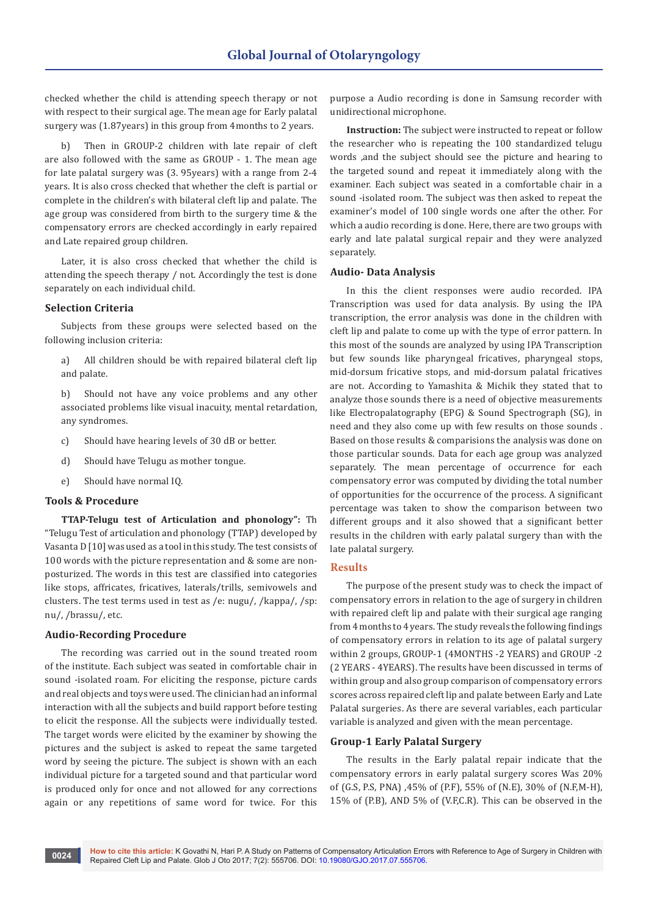checked whether the child is attending speech therapy or not with respect to their surgical age. The mean age for Early palatal surgery was (1.87years) in this group from 4months to 2 years.

Then in GROUP-2 children with late repair of cleft are also followed with the same as GROUP - 1. The mean age for late palatal surgery was (3. 95years) with a range from 2-4 years. It is also cross checked that whether the cleft is partial or complete in the children's with bilateral cleft lip and palate. The age group was considered from birth to the surgery time & the compensatory errors are checked accordingly in early repaired and Late repaired group children.

Later, it is also cross checked that whether the child is attending the speech therapy / not. Accordingly the test is done separately on each individual child.

#### **Selection Criteria**

Subjects from these groups were selected based on the following inclusion criteria:

a) All children should be with repaired bilateral cleft lip and palate.

b) Should not have any voice problems and any other associated problems like visual inacuity, mental retardation, any syndromes.

- c) Should have hearing levels of 30 dB or better.
- d) Should have Telugu as mother tongue.
- e) Should have normal IQ.

# **Tools & Procedure**

**TTAP-Telugu test of Articulation and phonology":** Th "Telugu Test of articulation and phonology (TTAP) developed by Vasanta D [10] was used as a tool in this study. The test consists of 100 words with the picture representation and & some are nonposturized. The words in this test are classified into categories like stops, affricates, fricatives, laterals/trills, semivowels and clusters. The test terms used in test as /e: nugu/, /kappa/, /sp: nu/, /brassu/, etc.

#### **Audio-Recording Procedure**

The recording was carried out in the sound treated room of the institute. Each subject was seated in comfortable chair in sound -isolated roam. For eliciting the response, picture cards and real objects and toys were used. The clinician had an informal interaction with all the subjects and build rapport before testing to elicit the response. All the subjects were individually tested. The target words were elicited by the examiner by showing the pictures and the subject is asked to repeat the same targeted word by seeing the picture. The subject is shown with an each individual picture for a targeted sound and that particular word is produced only for once and not allowed for any corrections again or any repetitions of same word for twice. For this

purpose a Audio recording is done in Samsung recorder with unidirectional microphone.

**Instruction:** The subject were instructed to repeat or follow the researcher who is repeating the 100 standardized telugu words ,and the subject should see the picture and hearing to the targeted sound and repeat it immediately along with the examiner. Each subject was seated in a comfortable chair in a sound -isolated room. The subject was then asked to repeat the examiner's model of 100 single words one after the other. For which a audio recording is done. Here, there are two groups with early and late palatal surgical repair and they were analyzed separately.

#### **Audio- Data Analysis**

In this the client responses were audio recorded. IPA Transcription was used for data analysis. By using the IPA transcription, the error analysis was done in the children with cleft lip and palate to come up with the type of error pattern. In this most of the sounds are analyzed by using IPA Transcription but few sounds like pharyngeal fricatives, pharyngeal stops, mid-dorsum fricative stops, and mid-dorsum palatal fricatives are not. According to Yamashita & Michik they stated that to analyze those sounds there is a need of objective measurements like Electropalatography (EPG) & Sound Spectrograph (SG), in need and they also come up with few results on those sounds . Based on those results & comparisions the analysis was done on those particular sounds. Data for each age group was analyzed separately. The mean percentage of occurrence for each compensatory error was computed by dividing the total number of opportunities for the occurrence of the process. A significant percentage was taken to show the comparison between two different groups and it also showed that a significant better results in the children with early palatal surgery than with the late palatal surgery.

#### **Results**

The purpose of the present study was to check the impact of compensatory errors in relation to the age of surgery in children with repaired cleft lip and palate with their surgical age ranging from 4 months to 4 years. The study reveals the following findings of compensatory errors in relation to its age of palatal surgery within 2 groups, GROUP-1 (4MONTHS -2 YEARS) and GROUP -2 (2 YEARS - 4YEARS). The results have been discussed in terms of within group and also group comparison of compensatory errors scores across repaired cleft lip and palate between Early and Late Palatal surgeries. As there are several variables, each particular variable is analyzed and given with the mean percentage.

#### **Group-1 Early Palatal Surgery**

The results in the Early palatal repair indicate that the compensatory errors in early palatal surgery scores Was 20% of (G.S, P.S, PNA) ,45% of (P.F), 55% of (N.E), 30% of (N.F,M-H), 15% of (P.B), AND 5% of (V.F,C.R). This can be observed in the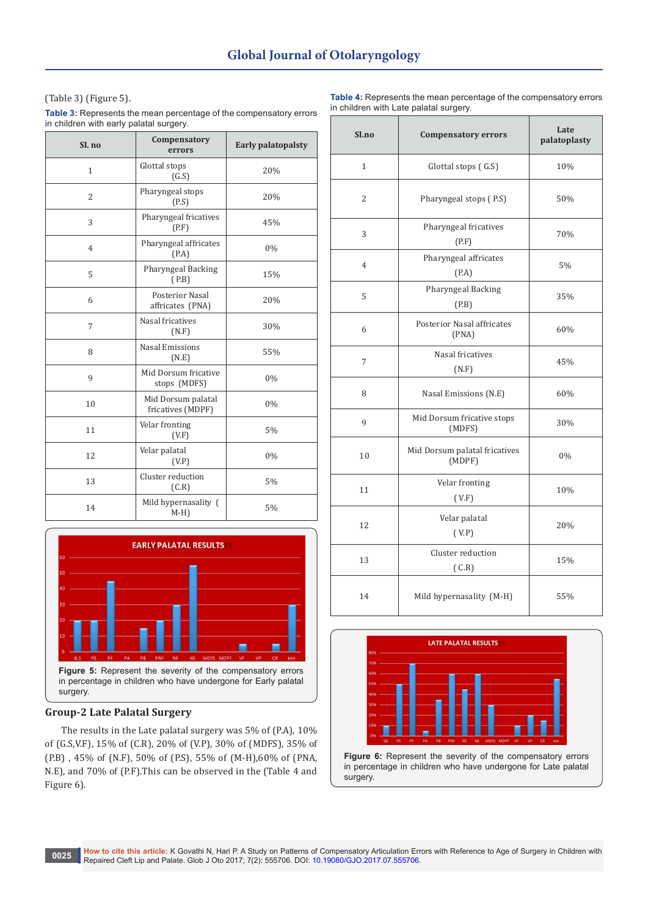(Table 3) (Figure 5).

**Table 3:** Represents the mean percentage of the compensatory errors in children with early palatal surgery.

| Sl. no         | Compensatory<br>errors                     | <b>Early palatopalsty</b> |
|----------------|--------------------------------------------|---------------------------|
| $\mathbf{1}$   | Glottal stops<br>(G.S)                     | 20%                       |
| $\overline{2}$ | Pharyngeal stops<br>(PS)                   | 20%                       |
| 3              | Pharyngeal fricatives<br>(P.F)             | 45%                       |
| $\overline{4}$ | Pharyngeal affricates<br>(P.A)             | 0%                        |
| 5              | Pharyngeal Backing<br>(P.B)                | 15%                       |
| 6              | <b>Posterior Nasal</b><br>affricates (PNA) | 20%                       |
| 7              | Nasal fricatives<br>(N.F)                  | 30%                       |
| 8              | <b>Nasal Emissions</b><br>(N.E)            | 55%                       |
| 9              | Mid Dorsum fricative<br>stops (MDFS)       | 0%                        |
| 10             | Mid Dorsum palatal<br>fricatives (MDPF)    | 0%                        |
| 11             | Velar fronting<br>(V.F)                    | 5%                        |
| 12             | Velar palatal<br>(V.P)                     | 0%                        |
| 13             | Cluster reduction<br>(C.R)                 | 5%                        |
| 14             | Mild hypernasality (<br>$M-H$ )            | 5%                        |



# **Group-2 Late Palatal Surgery**

The results in the Late palatal surgery was 5% of (P.A), 10% of (G.S,V.F), 15% of (C.R), 20% of (V.P), 30% of (MDFS), 35% of (P.B) , 45% of (N.F), 50% of (P.S), 55% of (M-H),60% of (PNA, N.E), and 70% of (P.F).This can be observed in the (Table 4 and Figure 6).

**Table 4:** Represents the mean percentage of the compensatory errors in children with Late palatal surgery.

| Sl.no          | <b>Compensatory errors</b>              | Late<br>palatoplasty |  |
|----------------|-----------------------------------------|----------------------|--|
| $\mathbf{1}$   | Glottal stops (G.S)                     | 10%                  |  |
| $\overline{2}$ | Pharyngeal stops (P.S)                  | 50%                  |  |
| 3              | Pharyngeal fricatives<br>(P.F)          | 70%                  |  |
| 4              | Pharyngeal affricates<br>(P.A)          | 5%                   |  |
| 5              | Pharyngeal Backing<br>(P.B)             | 35%                  |  |
| 6              | Posterior Nasal affricates<br>(PNA)     | 60%                  |  |
| 7              | Nasal fricatives<br>(N.F)               | 45%                  |  |
| 8              | Nasal Emissions (N.E)                   | 60%                  |  |
| 9              | Mid Dorsum fricative stops<br>(MDFS)    | 30%                  |  |
| 10             | Mid Dorsum palatal fricatives<br>(MDPF) | 0%                   |  |
| 11             | Velar fronting<br>(V.F)                 | 10%                  |  |
| 12             | Velar palatal<br>(V.P)                  | 20%                  |  |
| 13             | Cluster reduction<br>(C.R)              | 15%                  |  |
| 14             | Mild hypernasality (M-H)                | 55%                  |  |



in percentage in children who have undergone for Late palatal surgery.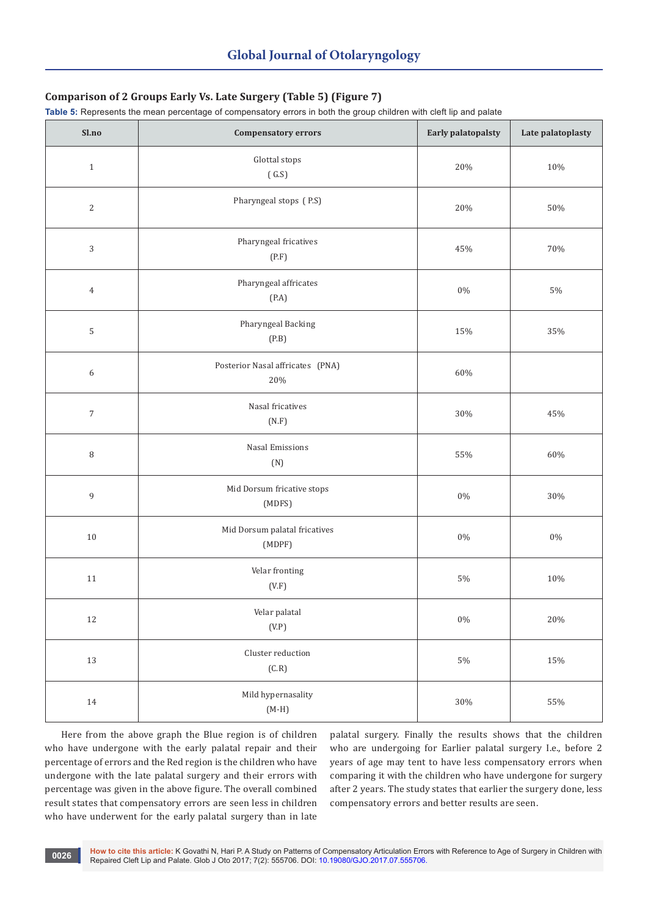# **Comparison of 2 Groups Early Vs. Late Surgery (Table 5) (Figure 7)**

**Table 5:** Represents the mean percentage of compensatory errors in both the group children with cleft lip and palate

| Sl.no            | <b>Compensatory errors</b>                 | Early palatopalsty | Late palatoplasty |
|------------------|--------------------------------------------|--------------------|-------------------|
| $\,1\,$          | Glottal stops<br>(G.S)                     | 20%                | $10\%$            |
| $\sqrt{2}$       | Pharyngeal stops (P.S)                     | 20%                | $50\%$            |
| $\sqrt{3}$       | Pharyngeal fricatives<br>(P.F)             | 45%                | 70%               |
| $\,4\,$          | Pharyngeal affricates<br>(P.A)             | $0\%$              | $5\%$             |
| $\mathsf S$      | Pharyngeal Backing<br>(P.B)                | 15%                | 35%               |
| $\boldsymbol{6}$ | Posterior Nasal affricates (PNA)<br>$20\%$ | 60%                |                   |
| $\sqrt{7}$       | Nasal fricatives<br>(N.F)                  | $30\%$             | $45\%$            |
| $\, 8$           | Nasal Emissions<br>(N)                     | 55%                | $60\%$            |
| $\boldsymbol{9}$ | Mid Dorsum fricative stops<br>(MDFS)       | $0\%$              | $30\%$            |
| $10\,$           | Mid Dorsum palatal fricatives<br>(MDPF)    | $0\%$              | $0\%$             |
| $11\,$           | Velar fronting<br>(V.F)                    | $5\%$              | $10\%$            |
| $12\,$           | Velar palatal<br>(V.P)                     | $0\%$              | $20\%$            |
| 13               | Cluster reduction<br>(C.R)                 | $5\%$              | $15\%$            |
| $14\,$           | Mild hypernasality<br>$(M-H)$              | $30\%$             | $55\%$            |

Here from the above graph the Blue region is of children who have undergone with the early palatal repair and their percentage of errors and the Red region is the children who have undergone with the late palatal surgery and their errors with percentage was given in the above figure. The overall combined result states that compensatory errors are seen less in children who have underwent for the early palatal surgery than in late

palatal surgery. Finally the results shows that the children who are undergoing for Earlier palatal surgery I.e., before 2 years of age may tent to have less compensatory errors when comparing it with the children who have undergone for surgery after 2 years. The study states that earlier the surgery done, less compensatory errors and better results are seen.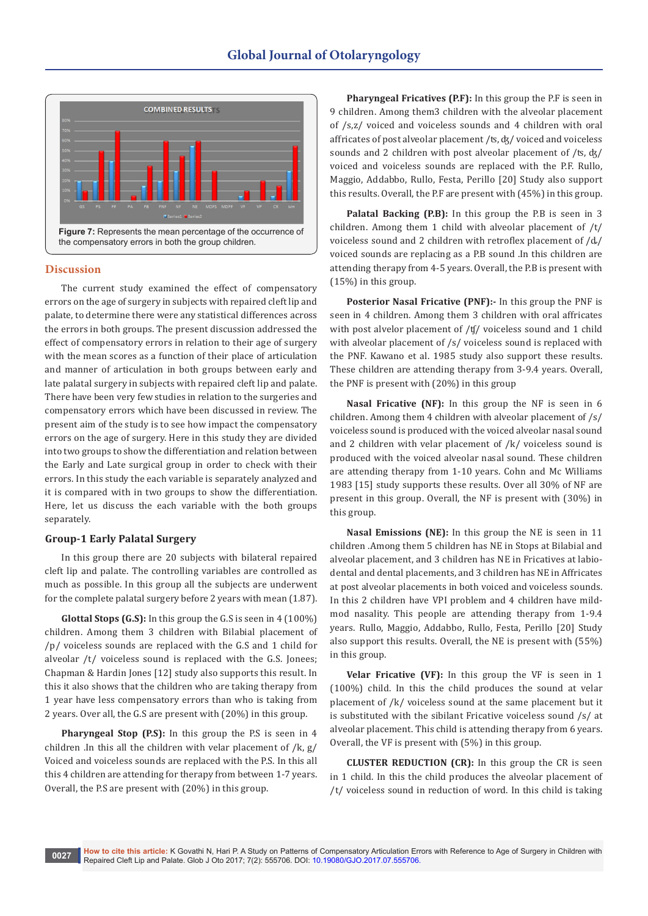

#### **Discussion**

The current study examined the effect of compensatory errors on the age of surgery in subjects with repaired cleft lip and palate, to determine there were any statistical differences across the errors in both groups. The present discussion addressed the effect of compensatory errors in relation to their age of surgery with the mean scores as a function of their place of articulation and manner of articulation in both groups between early and late palatal surgery in subjects with repaired cleft lip and palate. There have been very few studies in relation to the surgeries and compensatory errors which have been discussed in review. The present aim of the study is to see how impact the compensatory errors on the age of surgery. Here in this study they are divided into two groups to show the differentiation and relation between the Early and Late surgical group in order to check with their errors. In this study the each variable is separately analyzed and it is compared with in two groups to show the differentiation. Here, let us discuss the each variable with the both groups separately.

#### **Group-1 Early Palatal Surgery**

In this group there are 20 subjects with bilateral repaired cleft lip and palate. The controlling variables are controlled as much as possible. In this group all the subjects are underwent for the complete palatal surgery before 2 years with mean (1.87).

**Glottal Stops (G.S):** In this group the G.S is seen in 4 (100%) children. Among them 3 children with Bilabial placement of /p/ voiceless sounds are replaced with the G.S and 1 child for alveolar /t/ voiceless sound is replaced with the G.S. Jonees; Chapman & Hardin Jones [12] study also supports this result. In this it also shows that the children who are taking therapy from 1 year have less compensatory errors than who is taking from 2 years. Over all, the G.S are present with (20%) in this group.

**Pharyngeal Stop (P.S):** In this group the P.S is seen in 4 children .In this all the children with velar placement of /k, g/ Voiced and voiceless sounds are replaced with the P.S. In this all this 4 children are attending for therapy from between 1-7 years. Overall, the P.S are present with (20%) in this group.

**Pharyngeal Fricatives (P.F):** In this group the P.F is seen in 9 children. Among them3 children with the alveolar placement of /s,z/ voiced and voiceless sounds and 4 children with oral affricates of post alveolar placement /ʦ, ʤ/ voiced and voiceless sounds and 2 children with post alveolar placement of /ʦ, ʤ/ voiced and voiceless sounds are replaced with the P.F. Rullo, Maggio, Addabbo, Rullo, Festa, Perillo [20] Study also support this results. Overall, the P.F are present with (45%) in this group.

**Palatal Backing (P.B):** In this group the P.B is seen in 3 children. Among them 1 child with alveolar placement of /t/ voiceless sound and 2 children with retroflex placement of /ȡ/ voiced sounds are replacing as a P.B sound .In this children are attending therapy from 4-5 years. Overall, the P.B is present with (15%) in this group.

**Posterior Nasal Fricative (PNF):-** In this group the PNF is seen in 4 children. Among them 3 children with oral affricates with post alvelor placement of /ʧ/ voiceless sound and 1 child with alveolar placement of /s/ voiceless sound is replaced with the PNF. Kawano et al. 1985 study also support these results. These children are attending therapy from 3-9.4 years. Overall, the PNF is present with (20%) in this group

**Nasal Fricative (NF):** In this group the NF is seen in 6 children. Among them 4 children with alveolar placement of /s/ voiceless sound is produced with the voiced alveolar nasal sound and 2 children with velar placement of /k/ voiceless sound is produced with the voiced alveolar nasal sound. These children are attending therapy from 1-10 years. Cohn and Mc Williams 1983 [15] study supports these results. Over all 30% of NF are present in this group. Overall, the NF is present with (30%) in this group.

**Nasal Emissions (NE):** In this group the NE is seen in 11 children .Among them 5 children has NE in Stops at Bilabial and alveolar placement, and 3 children has NE in Fricatives at labiodental and dental placements, and 3 children has NE in Affricates at post alveolar placements in both voiced and voiceless sounds. In this 2 children have VPI problem and 4 children have mildmod nasality. This people are attending therapy from 1-9.4 years. Rullo, Maggio, Addabbo, Rullo, Festa, Perillo [20] Study also support this results. Overall, the NE is present with (55%) in this group.

**Velar Fricative (VF):** In this group the VF is seen in 1 (100%) child. In this the child produces the sound at velar placement of /k/ voiceless sound at the same placement but it is substituted with the sibilant Fricative voiceless sound /s/ at alveolar placement. This child is attending therapy from 6 years. Overall, the VF is present with (5%) in this group.

**CLUSTER REDUCTION (CR):** In this group the CR is seen in 1 child. In this the child produces the alveolar placement of /t/ voiceless sound in reduction of word. In this child is taking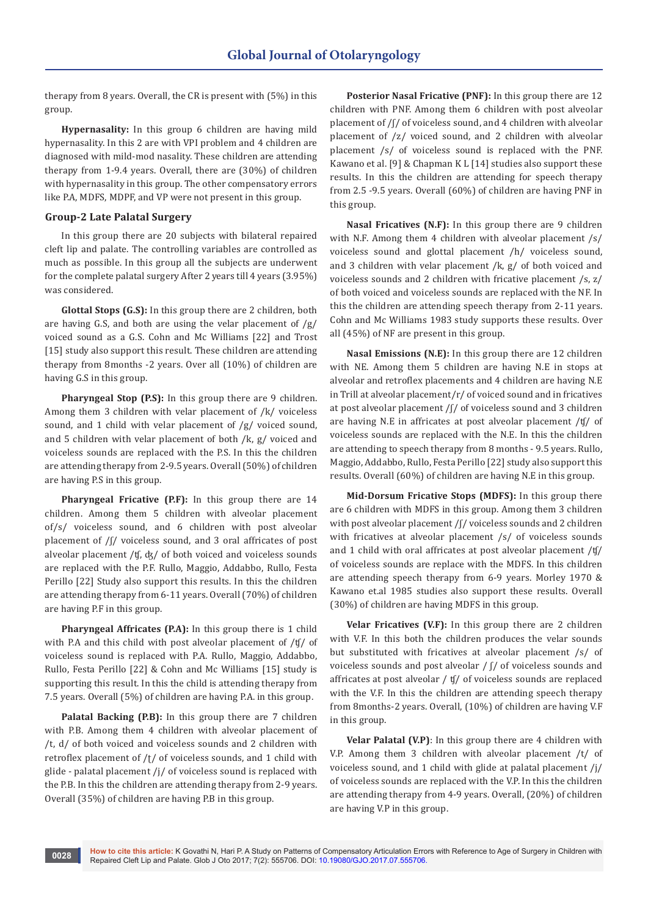therapy from 8 years. Overall, the CR is present with (5%) in this group.

**Hypernasality:** In this group 6 children are having mild hypernasality. In this 2 are with VPI problem and 4 children are diagnosed with mild-mod nasality. These children are attending therapy from 1-9.4 years. Overall, there are (30%) of children with hypernasality in this group. The other compensatory errors like P.A, MDFS, MDPF, and VP were not present in this group.

# **Group-2 Late Palatal Surgery**

In this group there are 20 subjects with bilateral repaired cleft lip and palate. The controlling variables are controlled as much as possible. In this group all the subjects are underwent for the complete palatal surgery After 2 years till 4 years (3.95%) was considered.

**Glottal Stops (G.S):** In this group there are 2 children, both are having G.S, and both are using the velar placement of  $/g/$ voiced sound as a G.S. Cohn and Mc Williams [22] and Trost [15] study also support this result. These children are attending therapy from 8months -2 years. Over all (10%) of children are having G.S in this group.

**Pharyngeal Stop (P.S):** In this group there are 9 children. Among them 3 children with velar placement of /k/ voiceless sound, and 1 child with velar placement of /g/ voiced sound, and 5 children with velar placement of both /k, g/ voiced and voiceless sounds are replaced with the P.S. In this the children are attending therapy from 2-9.5 years. Overall (50%) of children are having P.S in this group.

**Pharyngeal Fricative (P.F):** In this group there are 14 children. Among them 5 children with alveolar placement of/s/ voiceless sound, and 6 children with post alveolar placement of /ʃ/ voiceless sound, and 3 oral affricates of post alveolar placement /ʧ, ʤ/ of both voiced and voiceless sounds are replaced with the P.F. Rullo, Maggio, Addabbo, Rullo, Festa Perillo [22] Study also support this results. In this the children are attending therapy from 6-11 years. Overall (70%) of children are having P.F in this group.

**Pharyngeal Affricates (P.A):** In this group there is 1 child with P.A and this child with post alveolar placement of /ʧ/ of voiceless sound is replaced with P.A. Rullo, Maggio, Addabbo, Rullo, Festa Perillo [22] & Cohn and Mc Williams [15] study is supporting this result. In this the child is attending therapy from 7.5 years. Overall (5%) of children are having P.A. in this group.

**Palatal Backing (P.B):** In this group there are 7 children with P.B. Among them 4 children with alveolar placement of /t, d/ of both voiced and voiceless sounds and 2 children with retroflex placement of /ʈ/ of voiceless sounds, and 1 child with glide - palatal placement /j/ of voiceless sound is replaced with the P.B. In this the children are attending therapy from 2-9 years. Overall (35%) of children are having P.B in this group.

**Posterior Nasal Fricative (PNF):** In this group there are 12 children with PNF. Among them 6 children with post alveolar placement of /ʃ/ of voiceless sound, and 4 children with alveolar placement of /z/ voiced sound, and 2 children with alveolar placement /s/ of voiceless sound is replaced with the PNF. Kawano et al. [9] & Chapman K L [14] studies also support these results. In this the children are attending for speech therapy from 2.5 -9.5 years. Overall (60%) of children are having PNF in this group.

**Nasal Fricatives (N.F):** In this group there are 9 children with N.F. Among them 4 children with alveolar placement /s/ voiceless sound and glottal placement /h/ voiceless sound, and 3 children with velar placement /k, g/ of both voiced and voiceless sounds and 2 children with fricative placement /s, z/ of both voiced and voiceless sounds are replaced with the NF. In this the children are attending speech therapy from 2-11 years. Cohn and Mc Williams 1983 study supports these results. Over all (45%) of NF are present in this group.

**Nasal Emissions (N.E):** In this group there are 12 children with NE. Among them 5 children are having N.E in stops at alveolar and retroflex placements and 4 children are having N.E in Trill at alveolar placement/r/ of voiced sound and in fricatives at post alveolar placement /ʃ/ of voiceless sound and 3 children are having N.E in affricates at post alveolar placement /ʧ/ of voiceless sounds are replaced with the N.E. In this the children are attending to speech therapy from 8 months - 9.5 years. Rullo, Maggio, Addabbo, Rullo, Festa Perillo [22] study also support this results. Overall (60%) of children are having N.E in this group.

**Mid-Dorsum Fricative Stops (MDFS):** In this group there are 6 children with MDFS in this group. Among them 3 children with post alveolar placement /f/ voiceless sounds and 2 children with fricatives at alveolar placement /s/ of voiceless sounds and 1 child with oral affricates at post alveolar placement /ʧ/ of voiceless sounds are replace with the MDFS. In this children are attending speech therapy from 6-9 years. Morley 1970 & Kawano et.al 1985 studies also support these results. Overall (30%) of children are having MDFS in this group.

**Velar Fricatives (V.F):** In this group there are 2 children with V.F. In this both the children produces the velar sounds but substituted with fricatives at alveolar placement /s/ of voiceless sounds and post alveolar / ʃ/ of voiceless sounds and affricates at post alveolar / ʧ/ of voiceless sounds are replaced with the V.F. In this the children are attending speech therapy from 8months-2 years. Overall, (10%) of children are having V.F in this group.

**Velar Palatal (V.P)**: In this group there are 4 children with V.P. Among them 3 children with alveolar placement /t/ of voiceless sound, and 1 child with glide at palatal placement /j/ of voiceless sounds are replaced with the V.P. In this the children are attending therapy from 4-9 years. Overall, (20%) of children are having V.P in this group.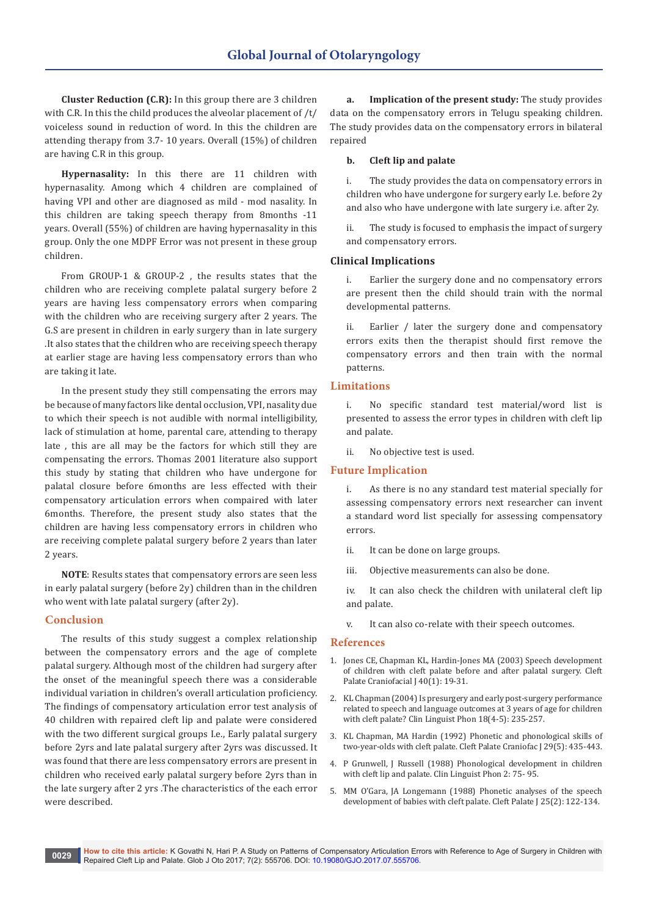**Cluster Reduction (C.R):** In this group there are 3 children with C.R. In this the child produces the alveolar placement of /t/ voiceless sound in reduction of word. In this the children are attending therapy from 3.7- 10 years. Overall (15%) of children are having C.R in this group.

**Hypernasality:** In this there are 11 children with hypernasality. Among which 4 children are complained of having VPI and other are diagnosed as mild - mod nasality. In this children are taking speech therapy from 8months -11 years. Overall (55%) of children are having hypernasality in this group. Only the one MDPF Error was not present in these group children.

From GROUP-1 & GROUP-2 , the results states that the children who are receiving complete palatal surgery before 2 years are having less compensatory errors when comparing with the children who are receiving surgery after 2 years. The G.S are present in children in early surgery than in late surgery .It also states that the children who are receiving speech therapy at earlier stage are having less compensatory errors than who are taking it late.

In the present study they still compensating the errors may be because of many factors like dental occlusion, VPI, nasality due to which their speech is not audible with normal intelligibility, lack of stimulation at home, parental care, attending to therapy late , this are all may be the factors for which still they are compensating the errors. Thomas 2001 literature also support this study by stating that children who have undergone for palatal closure before 6months are less effected with their compensatory articulation errors when compaired with later 6months. Therefore, the present study also states that the children are having less compensatory errors in children who are receiving complete palatal surgery before 2 years than later 2 years.

**NOTE**: Results states that compensatory errors are seen less in early palatal surgery (before 2y) children than in the children who went with late palatal surgery (after 2y).

## **Conclusion**

The results of this study suggest a complex relationship between the compensatory errors and the age of complete palatal surgery. Although most of the children had surgery after the onset of the meaningful speech there was a considerable individual variation in children's overall articulation proficiency. The findings of compensatory articulation error test analysis of 40 children with repaired cleft lip and palate were considered with the two different surgical groups I.e., Early palatal surgery before 2yrs and late palatal surgery after 2yrs was discussed. It was found that there are less compensatory errors are present in children who received early palatal surgery before 2yrs than in the late surgery after 2 yrs .The characteristics of the each error were described.

**a. Implication of the present study:** The study provides data on the compensatory errors in Telugu speaking children. The study provides data on the compensatory errors in bilateral repaired

#### **b. Cleft lip and palate**

i. The study provides the data on compensatory errors in children who have undergone for surgery early I.e. before 2y and also who have undergone with late surgery i.e. after 2y.

ii. The study is focused to emphasis the impact of surgery and compensatory errors.

#### **Clinical Implications**

i. Earlier the surgery done and no compensatory errors are present then the child should train with the normal developmental patterns.

ii. Earlier / later the surgery done and compensatory errors exits then the therapist should first remove the compensatory errors and then train with the normal patterns.

# **Limitations**

i. No specific standard test material/word list is presented to assess the error types in children with cleft lip and palate.

No objective test is used.

#### **Future Implication**

i. As there is no any standard test material specially for assessing compensatory errors next researcher can invent a standard word list specially for assessing compensatory errors.

- ii. It can be done on large groups.
- iii. Objective measurements can also be done.

iv. It can also check the children with unilateral cleft lip and palate.

v. It can also co-relate with their speech outcomes.

#### **References**

- 1. [Jones CE, Chapman KL, Hardin-Jones MA \(2003\) Speech development](https://www.ncbi.nlm.nih.gov/pubmed/12498602)  [of children with cleft palate before and after palatal surgery. Cleft](https://www.ncbi.nlm.nih.gov/pubmed/12498602)  [Palate Craniofacial J 40\(1\): 19-31.](https://www.ncbi.nlm.nih.gov/pubmed/12498602)
- 2. [KL Chapman \(2004\) Is presurgery and early post-surgery performance](https://www.ncbi.nlm.nih.gov/pubmed/15259571)  [related to speech and language outcomes at 3 years of age for children](https://www.ncbi.nlm.nih.gov/pubmed/15259571)  [with cleft palate? Clin Linguist Phon 18\(4-5\): 235-257.](https://www.ncbi.nlm.nih.gov/pubmed/15259571)
- 3. [KL Chapman, MA Hardin \(1992\) Phonetic and phonological skills of](https://www.ncbi.nlm.nih.gov/pubmed/1472523)  [two-year-olds with cleft palate. Cleft Palate Craniofac J 29\(5\): 435-443.](https://www.ncbi.nlm.nih.gov/pubmed/1472523)
- 4. [P Grunwell, J Russell \(1988\) Phonological development in children](https://www.ncbi.nlm.nih.gov/pubmed/21466298)  [with cleft lip and palate. Clin Linguist Phon 2: 75- 95.](https://www.ncbi.nlm.nih.gov/pubmed/21466298)
- 5. [MM O'Gara, JA Longemann \(1988\) Phonetic analyses of the speech](https://www.ncbi.nlm.nih.gov/pubmed/3163287)  [development of babies with cleft palate. Cleft Palate J 25\(2\): 122-134.](https://www.ncbi.nlm.nih.gov/pubmed/3163287)